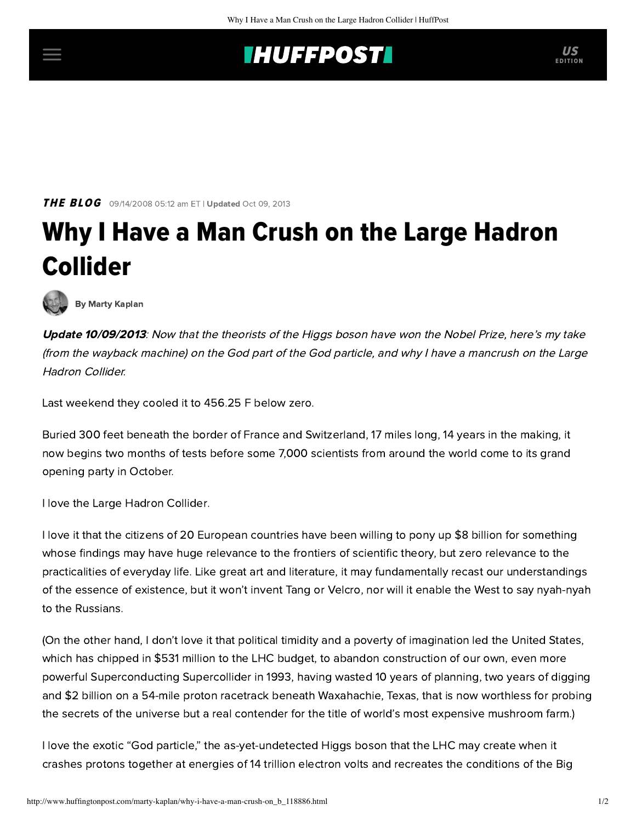## **INUFFPOST**

**THE BLOG** 09/14/2008 05:12 am ET | Updated Oct 09, 2013

## Why I Have a Man Crush on the Large Hadron Collider



[By Marty Kaplan](http://www.huffingtonpost.com/author/marty-kaplan)

Update 10/09/2013: Now that the theorists of the Higgs boson have won the Nobel Prize, here's my take (from the wayback machine) on the God part of the God particle, and why I have a mancrush on the Large Hadron Collider.

Last weekend they cooled it to 456.25 F below zero.

Buried 300 feet beneath the border of France and Switzerland, 17 miles long, 14 years in the making, it now begins two months of tests before some 7,000 scientists from around the world come to its grand opening party in October.

I love the [Large Hadron Collider.](http://en.wikipedia.org/wiki/Large_Hadron_Collider)

I love it that the citizens of 20 European countries have been willing to pony up \$8 billion for something whose findings may have huge relevance to the frontiers of scientific theory, but zero relevance to the practicalities of everyday life. Like great art and literature, it may fundamentally recast our understandings of the essence of existence, but it won't invent Tang or Velcro, nor will it enable the West to say nyah-nyah to the Russians.

(On the other hand, I don't love it that political timidity and a poverty of imagination led the United States, which has chipped in \$531 million to the LHC budget, to abandon construction of our own, even more powerful Superconducting Supercollider in 1993, having wasted 10 years of planning, two years of digging and \$2 billion on a 54-mile proton racetrack beneath Waxahachie, Texas, that is now worthless for probing the secrets of the universe but a real contender for the title of world's most expensive mushroom farm.)

I love the exotic "God particle," the as-yet-undetected Higgs boson that the LHC may create when it crashes protons together at energies of 14 trillion electron volts and recreates the conditions of the Big